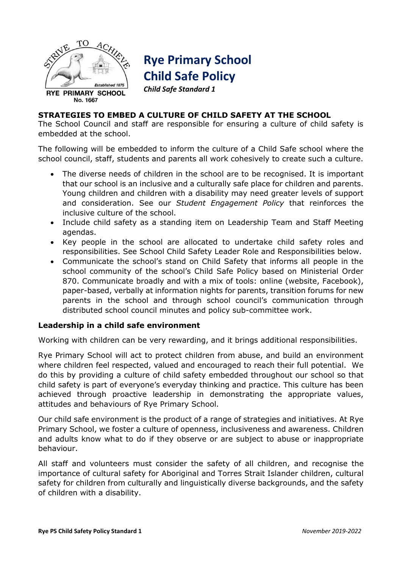

# **Rye Primary School Child Safe Policy**

*Child Safe Standard 1*

# **STRATEGIES TO EMBED A CULTURE OF CHILD SAFETY AT THE SCHOOL**

The School Council and staff are responsible for ensuring a culture of child safety is embedded at the school.

The following will be embedded to inform the culture of a Child Safe school where the school council, staff, students and parents all work cohesively to create such a culture.

- The diverse needs of children in the school are to be recognised. It is important that our school is an inclusive and a culturally safe place for children and parents. Young children and children with a disability may need greater levels of support and consideration. See our *Student Engagement Policy* that reinforces the inclusive culture of the school.
- Include child safety as a standing item on Leadership Team and Staff Meeting agendas.
- Key people in the school are allocated to undertake child safety roles and responsibilities. See School Child Safety Leader Role and Responsibilities below.
- Communicate the school's stand on Child Safety that informs all people in the school community of the school's Child Safe Policy based on Ministerial Order 870. Communicate broadly and with a mix of tools: online (website, Facebook), paper-based, verbally at information nights for parents, transition forums for new parents in the school and through school council's communication through distributed school council minutes and policy sub-committee work.

# **Leadership in a child safe environment**

Working with children can be very rewarding, and it brings additional responsibilities.

Rye Primary School will act to protect children from abuse, and build an environment where children feel respected, valued and encouraged to reach their full potential. We do this by providing a culture of child safety embedded throughout our school so that child safety is part of everyone's everyday thinking and practice. This culture has been achieved through proactive leadership in demonstrating the appropriate values, attitudes and behaviours of Rye Primary School.

Our child safe environment is the product of a range of strategies and initiatives. At Rye Primary School, we foster a culture of openness, inclusiveness and awareness. Children and adults know what to do if they observe or are subject to abuse or inappropriate behaviour.

All staff and volunteers must consider the safety of all children, and recognise the importance of cultural safety for Aboriginal and Torres Strait Islander children, cultural safety for children from culturally and linguistically diverse backgrounds, and the safety of children with a disability.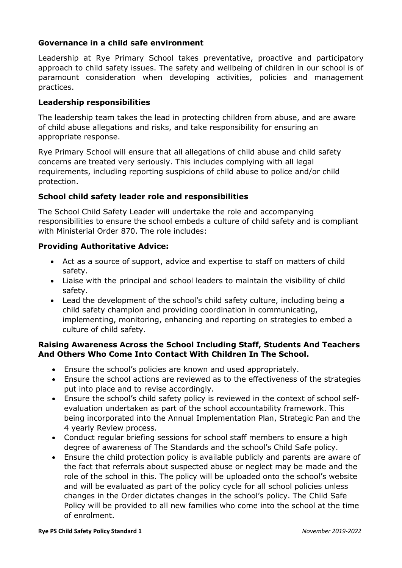# **Governance in a child safe environment**

Leadership at Rye Primary School takes preventative, proactive and participatory approach to child safety issues. The safety and wellbeing of children in our school is of paramount consideration when developing activities, policies and management practices.

#### **Leadership responsibilities**

The leadership team takes the lead in protecting children from abuse, and are aware of child abuse allegations and risks, and take responsibility for ensuring an appropriate response.

Rye Primary School will ensure that all allegations of child abuse and child safety concerns are treated very seriously. This includes complying with all legal requirements, including reporting suspicions of child abuse to police and/or child protection.

## **School child safety leader role and responsibilities**

The School Child Safety Leader will undertake the role and accompanying responsibilities to ensure the school embeds a culture of child safety and is compliant with Ministerial Order 870. The role includes:

## **Providing Authoritative Advice:**

- Act as a source of support, advice and expertise to staff on matters of child safety.
- Liaise with the principal and school leaders to maintain the visibility of child safety.
- Lead the development of the school's child safety culture, including being a child safety champion and providing coordination in communicating, implementing, monitoring, enhancing and reporting on strategies to embed a culture of child safety.

# **Raising Awareness Across the School Including Staff, Students And Teachers And Others Who Come Into Contact With Children In The School.**

- Ensure the school's policies are known and used appropriately.
- Ensure the school actions are reviewed as to the effectiveness of the strategies put into place and to revise accordingly.
- Ensure the school's child safety policy is reviewed in the context of school selfevaluation undertaken as part of the school accountability framework. This being incorporated into the Annual Implementation Plan, Strategic Pan and the 4 yearly Review process.
- Conduct regular briefing sessions for school staff members to ensure a high degree of awareness of The Standards and the school's Child Safe policy.
- Ensure the child protection policy is available publicly and parents are aware of the fact that referrals about suspected abuse or neglect may be made and the role of the school in this. The policy will be uploaded onto the school's website and will be evaluated as part of the policy cycle for all school policies unless changes in the Order dictates changes in the school's policy. The Child Safe Policy will be provided to all new families who come into the school at the time of enrolment.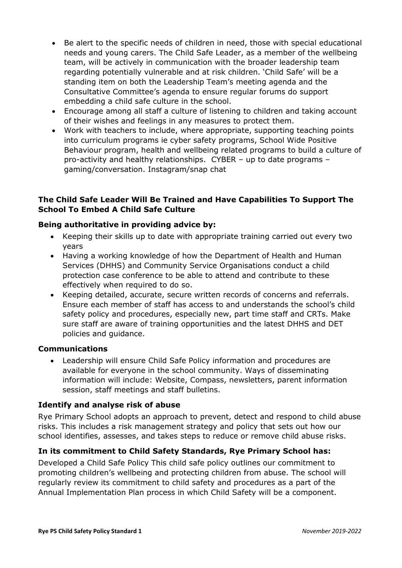- Be alert to the specific needs of children in need, those with special educational needs and young carers. The Child Safe Leader, as a member of the wellbeing team, will be actively in communication with the broader leadership team regarding potentially vulnerable and at risk children. 'Child Safe' will be a standing item on both the Leadership Team's meeting agenda and the Consultative Committee's agenda to ensure regular forums do support embedding a child safe culture in the school.
- Encourage among all staff a culture of listening to children and taking account of their wishes and feelings in any measures to protect them.
- Work with teachers to include, where appropriate, supporting teaching points into curriculum programs ie cyber safety programs, School Wide Positive Behaviour program, health and wellbeing related programs to build a culture of pro-activity and healthy relationships. CYBER – up to date programs – gaming/conversation. Instagram/snap chat

# **The Child Safe Leader Will Be Trained and Have Capabilities To Support The School To Embed A Child Safe Culture**

# **Being authoritative in providing advice by:**

- Keeping their skills up to date with appropriate training carried out every two years
- Having a working knowledge of how the Department of Health and Human Services (DHHS) and Community Service Organisations conduct a child protection case conference to be able to attend and contribute to these effectively when required to do so.
- Keeping detailed, accurate, secure written records of concerns and referrals. Ensure each member of staff has access to and understands the school's child safety policy and procedures, especially new, part time staff and CRTs. Make sure staff are aware of training opportunities and the latest DHHS and DET policies and guidance.

#### **Communications**

 Leadership will ensure Child Safe Policy information and procedures are available for everyone in the school community. Ways of disseminating information will include: Website, Compass, newsletters, parent information session, staff meetings and staff bulletins.

# **Identify and analyse risk of abuse**

Rye Primary School adopts an approach to prevent, detect and respond to child abuse risks. This includes a risk management strategy and policy that sets out how our school identifies, assesses, and takes steps to reduce or remove child abuse risks.

# **In its commitment to Child Safety Standards, Rye Primary School has:**

Developed a Child Safe Policy This child safe policy outlines our commitment to promoting children's wellbeing and protecting children from abuse. The school will regularly review its commitment to child safety and procedures as a part of the Annual Implementation Plan process in which Child Safety will be a component.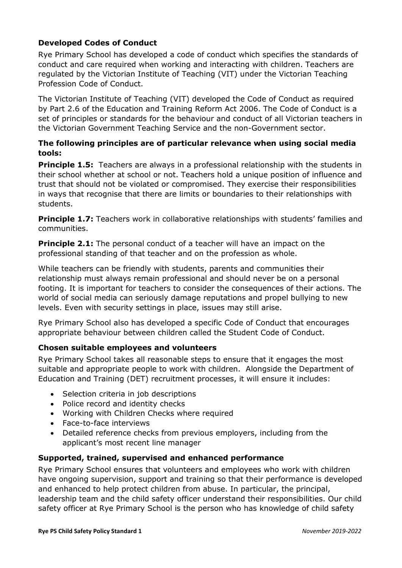# **Developed Codes of Conduct**

Rye Primary School has developed a code of conduct which specifies the standards of conduct and care required when working and interacting with children. Teachers are regulated by the Victorian Institute of Teaching (VIT) under the Victorian Teaching Profession Code of Conduct.

The Victorian Institute of Teaching (VIT) developed the Code of Conduct as required by Part 2.6 of the Education and Training Reform Act 2006. The Code of Conduct is a set of principles or standards for the behaviour and conduct of all Victorian teachers in the Victorian Government Teaching Service and the non-Government sector.

# **The following principles are of particular relevance when using social media tools:**

**Principle 1.5:** Teachers are always in a professional relationship with the students in their school whether at school or not. Teachers hold a unique position of influence and trust that should not be violated or compromised. They exercise their responsibilities in ways that recognise that there are limits or boundaries to their relationships with students.

**Principle 1.7:** Teachers work in collaborative relationships with students' families and communities.

**Principle 2.1:** The personal conduct of a teacher will have an impact on the professional standing of that teacher and on the profession as whole.

While teachers can be friendly with students, parents and communities their relationship must always remain professional and should never be on a personal footing. It is important for teachers to consider the consequences of their actions. The world of social media can seriously damage reputations and propel bullying to new levels. Even with security settings in place, issues may still arise.

Rye Primary School also has developed a specific Code of Conduct that encourages appropriate behaviour between children called the Student Code of Conduct.

# **Chosen suitable employees and volunteers**

Rye Primary School takes all reasonable steps to ensure that it engages the most suitable and appropriate people to work with children. Alongside the Department of Education and Training (DET) recruitment processes, it will ensure it includes:

- Selection criteria in job descriptions
- Police record and identity checks
- Working with Children Checks where required
- Face-to-face interviews
- Detailed reference checks from previous employers, including from the applicant's most recent line manager

# **Supported, trained, supervised and enhanced performance**

Rye Primary School ensures that volunteers and employees who work with children have ongoing supervision, support and training so that their performance is developed and enhanced to help protect children from abuse. In particular, the principal, leadership team and the child safety officer understand their responsibilities. Our child safety officer at Rye Primary School is the person who has knowledge of child safety